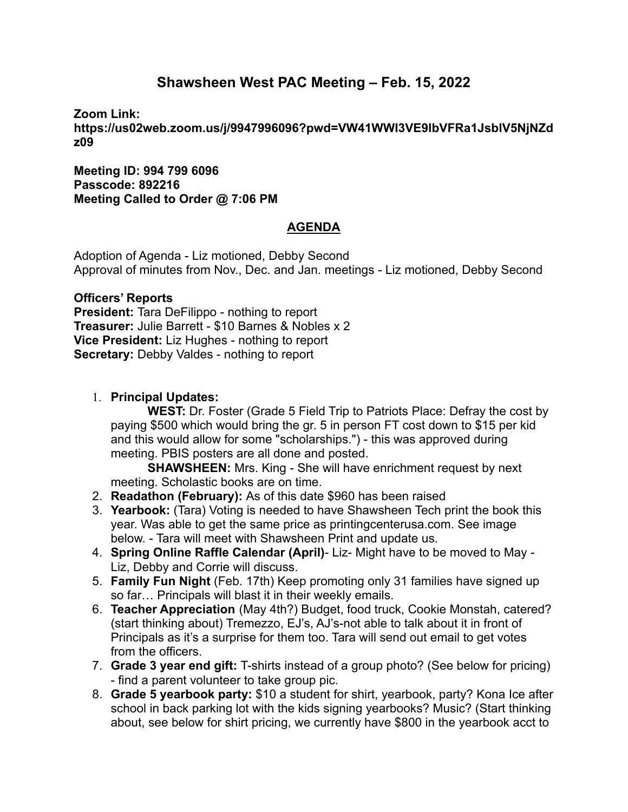# **Shawsheen West PAC Meeting – Feb. 15, 2022**

**Zoom Link:**

**https://us02web.zoom.us/j/9947996096?pwd=VW41WWI3VE9lbVFRa1JsblV5NjNZd z09**

**Meeting ID: 994 799 6096 Passcode: 892216 Meeting Called to Order @ 7:06 PM**

# **AGENDA**

Adoption of Agenda - Liz motioned, Debby Second Approval of minutes from Nov., Dec. and Jan. meetings - Liz motioned, Debby Second

### **Officers' Reports**

**President:** Tara DeFilippo - nothing to report **Treasurer:** Julie Barrett - \$10 Barnes & Nobles x 2 **Vice President:** Liz Hughes - nothing to report **Secretary:** Debby Valdes - nothing to report

### 1. **Principal Updates:**

**WEST:** Dr. Foster (Grade 5 Field Trip to Patriots Place: Defray the cost by paying \$500 which would bring the gr. 5 in person FT cost down to \$15 per kid and this would allow for some "scholarships.") - this was approved during meeting. PBIS posters are all done and posted.

**SHAWSHEEN:** Mrs. King - She will have enrichment request by next meeting. Scholastic books are on time.

- 2. **Readathon (February):** As of this date \$960 has been raised
- 3. **Yearbook:** (Tara) Voting is needed to have Shawsheen Tech print the book this year. Was able to get the same price as printingcenterusa.com. See image below. - Tara will meet with Shawsheen Print and update us.
- 4. **Spring Online Raffle Calendar (April)** Liz- Might have to be moved to May Liz, Debby and Corrie will discuss.
- 5. **Family Fun Night** (Feb. 17th) Keep promoting only 31 families have signed up so far… Principals will blast it in their weekly emails.
- 6. **Teacher Appreciation** (May 4th?) Budget, food truck, Cookie Monstah, catered? (start thinking about) Tremezzo, EJ's, AJ's-not able to talk about it in front of Principals as it's a surprise for them too. Tara will send out email to get votes from the officers.
- 7. **Grade 3 year end gift:** T-shirts instead of a group photo? (See below for pricing) - find a parent volunteer to take group pic.
- 8. **Grade 5 yearbook party:** \$10 a student for shirt, yearbook, party? Kona Ice after school in back parking lot with the kids signing yearbooks? Music? (Start thinking about, see below for shirt pricing, we currently have \$800 in the yearbook acct to